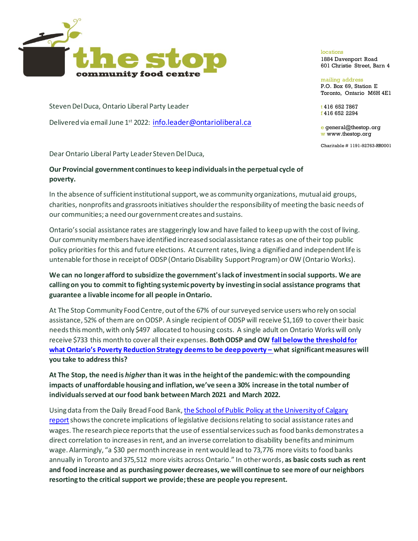

Steven Del Duca, Ontario Liberal Party Leader

Delivered via email June 1<sup>st</sup> 2022: info.leader@ontarioliberal.ca

Dear Ontario Liberal Party Leader Steven Del Duca,

## **Our Provincial government continues to keep individuals in the perpetual cycle of poverty.**

In the absence of sufficient institutional support, we as community organizations, mutual aid groups, charities, nonprofits and grassroots initiatives shoulder the responsibility of meeting the basic needs of our communities; a need our government creates and sustains.

Ontario's social assistance rates are staggeringly low and have failed to keep up with the cost of living. Our community members have identified increased social assistance rates as one of their top public policy priorities for this and future elections. At current rates, living a dignified and independent life is untenable for those in receipt of ODSP (Ontario Disability Support Program) or OW (Ontario Works).

## **We can no longer afford to subsidize the government's lack of investment in social supports. We are calling on you to commit to fighting systemic poverty by investing in social assistance programs that guarantee a livable income for all people in Ontario.**

At The Stop Community Food Centre, out of the 67% of our surveyed service users who rely on social assistance, 52% of them are on ODSP. A single recipient of ODSP will receive \$1,169 to cover their basic needs this month, with only \$497 allocated to housing costs. A single adult on Ontario Works will only receive \$733 this month to cover all their expenses. **Both ODSP and OW fall below the threshold for what Ontario's Poverty Reduction Strategy deems to be deep poverty – what significant measures will you take to address this?**

**At The Stop, the need is** *higher* **than it was in the height of the pandemic: with the compounding impacts of unaffordable housing and inflation, we've seen a 30% increase in the total number of individuals served at our food bank between March 2021 and March 2022.**

Using data from the Daily Bread Food Bank, the School of Public Policy at the University of Calgary reportshows the concrete implications of legislative decisions relating to social assistance rates and wages. The research piece reports that the use of essential services such as food banks demonstrates a direct correlation to increases in rent, and an inverse correlation to disability benefits and minimum wage. Alarmingly, "a \$30 per month increase in rent would lead to 73,776 more visits to food banks annually in Toronto and 375,512 more visits across Ontario." In other words, **as basic costs such as rent and food increase and as purchasing power decreases, we will continue to see more of our neighbors resorting to the critical support we provide; these are people you represent.** 

## locations

1884 Davenport Road 601 Christie Street, Barn 4

mailing address P.O. Box 69, Station E Toronto, Ontario M6H 4E1

t 416 652 7867 f 416 652 2294

e general@thestop.org w www.thestop.org

Charitable # 1191-92763-RR0001